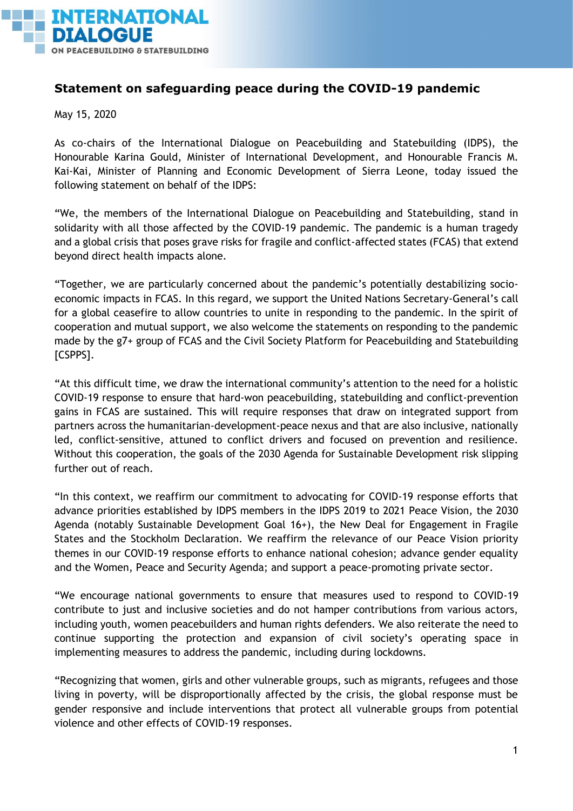

## **Statement on safeguarding peace during the COVID-19 pandemic**

May 15, 2020

As co-chairs of the International Dialogue on Peacebuilding and Statebuilding (IDPS), the Honourable Karina Gould, Minister of International Development, and Honourable Francis M. Kai-Kai, Minister of Planning and Economic Development of Sierra Leone, today issued the following statement on behalf of the IDPS:

"We, the members of the International Dialogue on Peacebuilding and Statebuilding, stand in solidarity with all those affected by the COVID-19 pandemic. The pandemic is a human tragedy and a global crisis that poses grave risks for fragile and conflict-affected states (FCAS) that extend beyond direct health impacts alone.

"Together, we are particularly concerned about the pandemic's potentially destabilizing socioeconomic impacts in FCAS. In this regard, we support the United Nations Secretary-General's call for a global ceasefire to allow countries to unite in responding to the pandemic. In the spirit of cooperation and mutual support, we also welcome the statements on responding to the pandemic made by the g7+ group of FCAS and the Civil Society Platform for Peacebuilding and Statebuilding [CSPPS].

"At this difficult time, we draw the international community's attention to the need for a holistic COVID-19 response to ensure that hard-won peacebuilding, statebuilding and conflict-prevention gains in FCAS are sustained. This will require responses that draw on integrated support from partners across the humanitarian-development-peace nexus and that are also inclusive, nationally led, conflict-sensitive, attuned to conflict drivers and focused on prevention and resilience. Without this cooperation, the goals of the 2030 Agenda for Sustainable Development risk slipping further out of reach.

"In this context, we reaffirm our commitment to advocating for COVID-19 response efforts that advance priorities established by IDPS members in the IDPS 2019 to 2021 Peace Vision*,* the 2030 Agenda (notably Sustainable Development Goal 16+), the New Deal for Engagement in Fragile States and the Stockholm Declaration*.* We reaffirm the relevance of our Peace Vision priority themes in our COVID-19 response efforts to enhance national cohesion; advance gender equality and the Women, Peace and Security Agenda; and support a peace-promoting private sector.

"We encourage national governments to ensure that measures used to respond to COVID-19 contribute to just and inclusive societies and do not hamper contributions from various actors, including youth, women peacebuilders and human rights defenders. We also reiterate the need to continue supporting the protection and expansion of civil society's operating space in implementing measures to address the pandemic, including during lockdowns.

"Recognizing that women, girls and other vulnerable groups, such as migrants, refugees and those living in poverty, will be disproportionally affected by the crisis, the global response must be gender responsive and include interventions that protect all vulnerable groups from potential violence and other effects of COVID-19 responses.